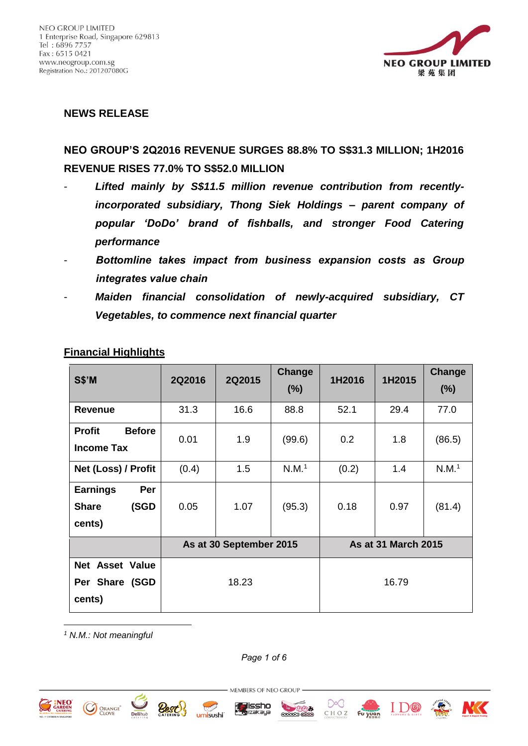

#### **NEWS RELEASE**

# **NEO GROUP'S 2Q2016 REVENUE SURGES 88.8% TO S\$31.3 MILLION; 1H2016 REVENUE RISES 77.0% TO S\$52.0 MILLION**

- Lifted mainly by S\$11.5 million revenue contribution from recently*incorporated subsidiary, Thong Siek Holdings – parent company of popular 'DoDo' brand of fishballs, and stronger Food Catering performance*
- *Bottomline takes impact from business expansion costs as Group integrates value chain*
- *Maiden financial consolidation of newly-acquired subsidiary, CT Vegetables, to commence next financial quarter*

| <b>S\$'M</b>                                             | 2Q2016                  | 2Q2015 | Change<br>(%)     | 1H2016                     | 1H2015 | Change<br>(%)     |
|----------------------------------------------------------|-------------------------|--------|-------------------|----------------------------|--------|-------------------|
| <b>Revenue</b>                                           | 31.3                    | 16.6   | 88.8              | 52.1                       | 29.4   | 77.0              |
| <b>Before</b><br><b>Profit</b><br><b>Income Tax</b>      | 0.01                    | 1.9    | (99.6)            | 0.2                        | 1.8    | (86.5)            |
| Net (Loss) / Profit                                      | (0.4)                   | 1.5    | N.M. <sup>1</sup> | (0.2)                      | 1.4    | N.M. <sup>1</sup> |
| <b>Earnings</b><br>Per<br><b>Share</b><br>(SGD<br>cents) | 0.05                    | 1.07   | (95.3)            | 0.18                       | 0.97   | (81.4)            |
|                                                          | As at 30 September 2015 |        |                   | <b>As at 31 March 2015</b> |        |                   |
| <b>Net Asset Value</b><br>Per Share (SGD<br>cents)       | 18.23                   |        |                   | 16.79                      |        |                   |

#### **Financial Highlights**

*<sup>1</sup> N.M.: Not meaningful*

*Page 1 of 6*

MEMBERS OF NEO GROUP

**a**issho



<u>.</u>











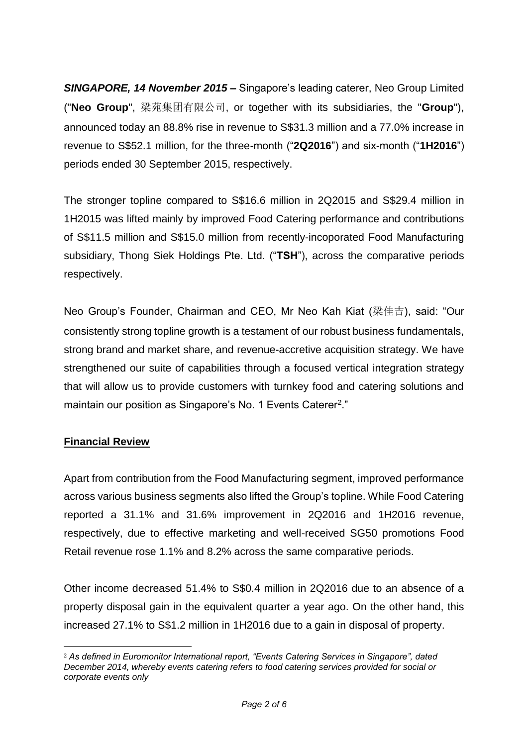*SINGAPORE, 14 November 2015* **–** Singapore's leading caterer, Neo Group Limited ("**Neo Group**", 梁苑集团有限公司, or together with its subsidiaries, the "**Group**"), announced today an 88.8% rise in revenue to S\$31.3 million and a 77.0% increase in revenue to S\$52.1 million, for the three-month ("**2Q2016**") and six-month ("**1H2016**") periods ended 30 September 2015, respectively.

The stronger topline compared to S\$16.6 million in 2Q2015 and S\$29.4 million in 1H2015 was lifted mainly by improved Food Catering performance and contributions of S\$11.5 million and S\$15.0 million from recently-incoporated Food Manufacturing subsidiary, Thong Siek Holdings Pte. Ltd. ("**TSH**"), across the comparative periods respectively.

Neo Group's Founder, Chairman and CEO, Mr Neo Kah Kiat (梁佳吉), said: "Our consistently strong topline growth is a testament of our robust business fundamentals, strong brand and market share, and revenue-accretive acquisition strategy. We have strengthened our suite of capabilities through a focused vertical integration strategy that will allow us to provide customers with turnkey food and catering solutions and maintain our position as Singapore's No. 1 Events Caterer<sup>2</sup>."

### **Financial Review**

1

Apart from contribution from the Food Manufacturing segment, improved performance across various business segments also lifted the Group's topline. While Food Catering reported a 31.1% and 31.6% improvement in 2Q2016 and 1H2016 revenue, respectively, due to effective marketing and well-received SG50 promotions Food Retail revenue rose 1.1% and 8.2% across the same comparative periods.

Other income decreased 51.4% to S\$0.4 million in 2Q2016 due to an absence of a property disposal gain in the equivalent quarter a year ago. On the other hand, this increased 27.1% to S\$1.2 million in 1H2016 due to a gain in disposal of property.

<sup>2</sup> *As defined in Euromonitor International report, "Events Catering Services in Singapore", dated December 2014, whereby events catering refers to food catering services provided for social or corporate events only*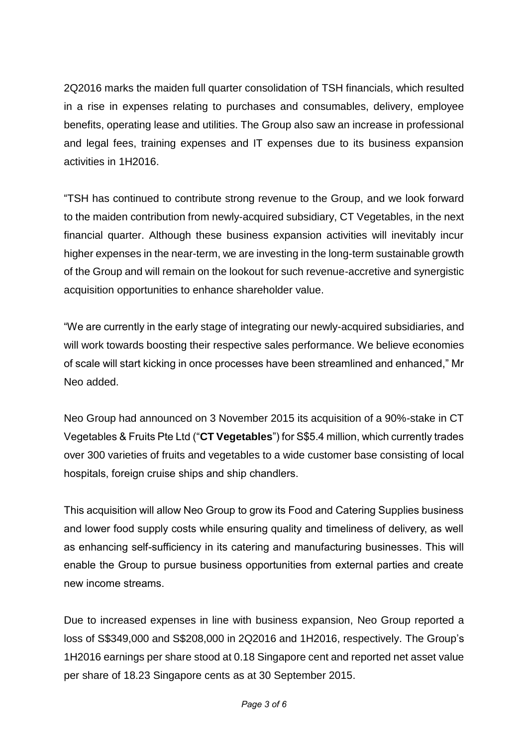2Q2016 marks the maiden full quarter consolidation of TSH financials, which resulted in a rise in expenses relating to purchases and consumables, delivery, employee benefits, operating lease and utilities. The Group also saw an increase in professional and legal fees, training expenses and IT expenses due to its business expansion activities in 1H2016.

"TSH has continued to contribute strong revenue to the Group, and we look forward to the maiden contribution from newly-acquired subsidiary, CT Vegetables, in the next financial quarter. Although these business expansion activities will inevitably incur higher expenses in the near-term, we are investing in the long-term sustainable growth of the Group and will remain on the lookout for such revenue-accretive and synergistic acquisition opportunities to enhance shareholder value.

"We are currently in the early stage of integrating our newly-acquired subsidiaries, and will work towards boosting their respective sales performance. We believe economies of scale will start kicking in once processes have been streamlined and enhanced," Mr Neo added.

Neo Group had announced on 3 November 2015 its acquisition of a 90%-stake in CT Vegetables & Fruits Pte Ltd ("**CT Vegetables**") for S\$5.4 million, which currently trades over 300 varieties of fruits and vegetables to a wide customer base consisting of local hospitals, foreign cruise ships and ship chandlers.

This acquisition will allow Neo Group to grow its Food and Catering Supplies business and lower food supply costs while ensuring quality and timeliness of delivery, as well as enhancing self-sufficiency in its catering and manufacturing businesses. This will enable the Group to pursue business opportunities from external parties and create new income streams.

Due to increased expenses in line with business expansion, Neo Group reported a loss of S\$349,000 and S\$208,000 in 2Q2016 and 1H2016, respectively. The Group's 1H2016 earnings per share stood at 0.18 Singapore cent and reported net asset value per share of 18.23 Singapore cents as at 30 September 2015.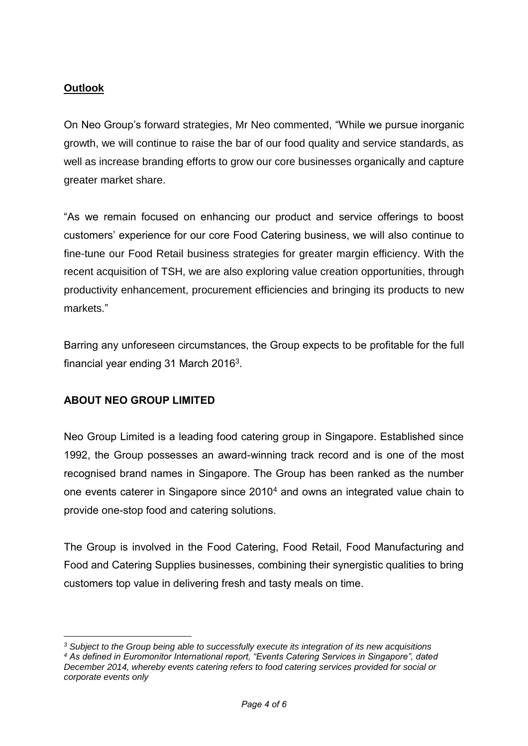## **Outlook**

On Neo Group's forward strategies, Mr Neo commented, "While we pursue inorganic growth, we will continue to raise the bar of our food quality and service standards, as well as increase branding efforts to grow our core businesses organically and capture greater market share.

"As we remain focused on enhancing our product and service offerings to boost customers' experience for our core Food Catering business, we will also continue to fine-tune our Food Retail business strategies for greater margin efficiency. With the recent acquisition of TSH, we are also exploring value creation opportunities, through productivity enhancement, procurement efficiencies and bringing its products to new markets."

Barring any unforeseen circumstances, the Group expects to be profitable for the full financial year ending 31 March 2016 $3$ .

## **ABOUT NEO GROUP LIMITED**

1

Neo Group Limited is a leading food catering group in Singapore. Established since 1992, the Group possesses an award-winning track record and is one of the most recognised brand names in Singapore. The Group has been ranked as the number one events caterer in Singapore since 2010<sup>4</sup> and owns an integrated value chain to provide one-stop food and catering solutions.

The Group is involved in the Food Catering, Food Retail, Food Manufacturing and Food and Catering Supplies businesses, combining their synergistic qualities to bring customers top value in delivering fresh and tasty meals on time.

*<sup>3</sup> Subject to the Group being able to successfully execute its integration of its new acquisitions <sup>4</sup> As defined in Euromonitor International report, "Events Catering Services in Singapore", dated December 2014, whereby events catering refers to food catering services provided for social or corporate events only*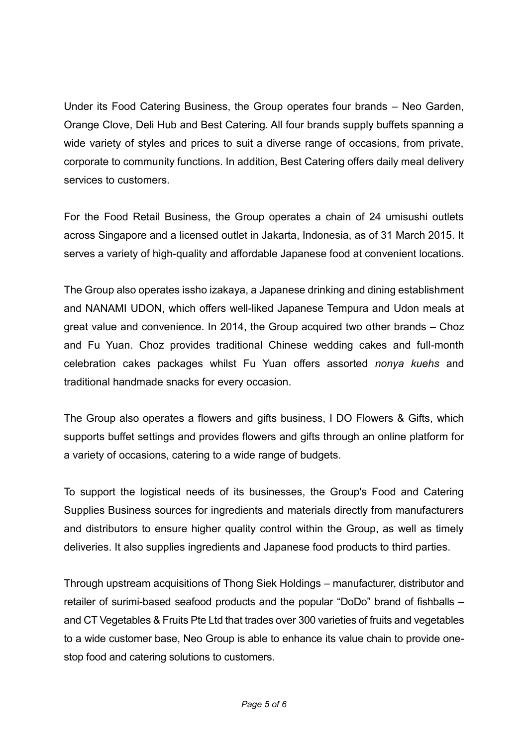Under its Food Catering Business, the Group operates four brands – Neo Garden, Orange Clove, Deli Hub and Best Catering. All four brands supply buffets spanning a wide variety of styles and prices to suit a diverse range of occasions, from private, corporate to community functions. In addition, Best Catering offers daily meal delivery services to customers.

For the Food Retail Business, the Group operates a chain of 24 umisushi outlets across Singapore and a licensed outlet in Jakarta, Indonesia, as of 31 March 2015. It serves a variety of high-quality and affordable Japanese food at convenient locations.

The Group also operates issho izakaya, a Japanese drinking and dining establishment and NANAMI UDON, which offers well-liked Japanese Tempura and Udon meals at great value and convenience. In 2014, the Group acquired two other brands – Choz and Fu Yuan. Choz provides traditional Chinese wedding cakes and full-month celebration cakes packages whilst Fu Yuan offers assorted *nonya kuehs* and traditional handmade snacks for every occasion.

The Group also operates a flowers and gifts business, I DO Flowers & Gifts, which supports buffet settings and provides flowers and gifts through an online platform for a variety of occasions, catering to a wide range of budgets.

To support the logistical needs of its businesses, the Group's Food and Catering Supplies Business sources for ingredients and materials directly from manufacturers and distributors to ensure higher quality control within the Group, as well as timely deliveries. It also supplies ingredients and Japanese food products to third parties.

Through upstream acquisitions of Thong Siek Holdings – manufacturer, distributor and retailer of surimi-based seafood products and the popular "DoDo" brand of fishballs – and CT Vegetables & Fruits Pte Ltd that trades over 300 varieties of fruits and vegetables to a wide customer base, Neo Group is able to enhance its value chain to provide onestop food and catering solutions to customers.